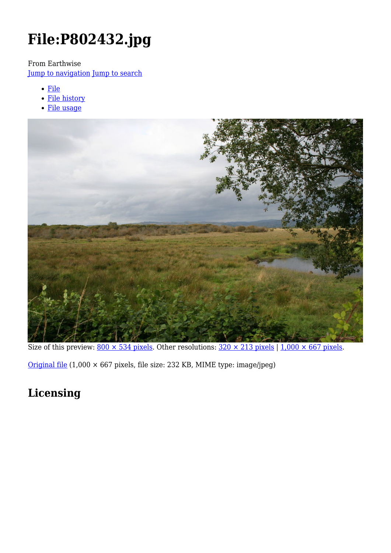# **File:P802432.jpg**

From Earthwise

[Jump to navigation](#page--1-0) [Jump to search](#page--1-0)

- [File](#page--1-0)
- [File history](#page--1-0)
- [File usage](#page--1-0)



Size of this preview:  $800 \times 534$  pixels. Other resolutions:  $320 \times 213$  pixels | 1,000  $\times$  667 pixels.

[Original file](http://earthwise.bgs.ac.uk/images/2/27/P802432.jpg) (1,000 × 667 pixels, file size: 232 KB, MIME type: image/jpeg)

## **Licensing**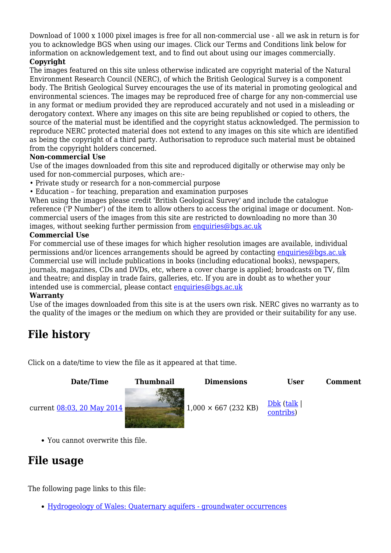Download of 1000 x 1000 pixel images is free for all non-commercial use - all we ask in return is for you to acknowledge BGS when using our images. Click our Terms and Conditions link below for information on acknowledgement text, and to find out about using our images commercially.

### **Copyright**

The images featured on this site unless otherwise indicated are copyright material of the Natural Environment Research Council (NERC), of which the British Geological Survey is a component body. The British Geological Survey encourages the use of its material in promoting geological and environmental sciences. The images may be reproduced free of charge for any non-commercial use in any format or medium provided they are reproduced accurately and not used in a misleading or derogatory context. Where any images on this site are being republished or copied to others, the source of the material must be identified and the copyright status acknowledged. The permission to reproduce NERC protected material does not extend to any images on this site which are identified as being the copyright of a third party. Authorisation to reproduce such material must be obtained from the copyright holders concerned.

#### **Non-commercial Use**

Use of the images downloaded from this site and reproduced digitally or otherwise may only be used for non-commercial purposes, which are:-

- Private study or research for a non-commercial purpose
- Education for teaching, preparation and examination purposes

When using the images please credit 'British Geological Survey' and include the catalogue reference ('P Number') of the item to allow others to access the original image or document. Noncommercial users of the images from this site are restricted to downloading no more than 30 images, without seeking further permission from [enquiries@bgs.ac.uk](mailto:enquiries@bgs.ac.uk)

#### **Commercial Use**

For commercial use of these images for which higher resolution images are available, individual permissions and/or licences arrangements should be agreed by contacting [enquiries@bgs.ac.uk](mailto:enquiries@bgs.ac.uk) Commercial use will include publications in books (including educational books), newspapers, journals, magazines, CDs and DVDs, etc, where a cover charge is applied; broadcasts on TV, film and theatre; and display in trade fairs, galleries, etc. If you are in doubt as to whether your intended use is commercial, please contact [enquiries@bgs.ac.uk](mailto:enquiries@bgs.ac.uk)

#### **Warranty**

Use of the images downloaded from this site is at the users own risk. NERC gives no warranty as to the quality of the images or the medium on which they are provided or their suitability for any use.

## **File history**

Click on a date/time to view the file as it appeared at that time.

**Date/Time Thumbnail Dimensions User Comment**



[contribs\)](http://earthwise.bgs.ac.uk/index.php/Special:Contributions/Dbk)



You cannot overwrite this file.

## **File usage**

The following page links to this file:

• [Hydrogeology of Wales: Quaternary aquifers - groundwater occurrences](http://earthwise.bgs.ac.uk/index.php/Hydrogeology_of_Wales:_Quaternary_aquifers_-_groundwater_occurrences)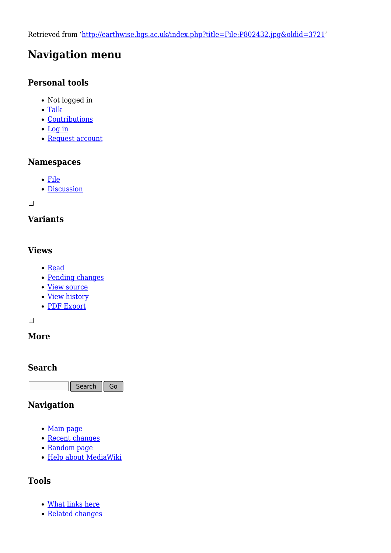Retrieved from ['http://earthwise.bgs.ac.uk/index.php?title=File:P802432.jpg&oldid=3721](http://earthwise.bgs.ac.uk/index.php?title=File:P802432.jpg&oldid=3721)'

## **Navigation menu**

## **Personal tools**

- Not logged in
- [Talk](http://earthwise.bgs.ac.uk/index.php/Special:MyTalk)
- [Contributions](http://earthwise.bgs.ac.uk/index.php/Special:MyContributions)
- [Log in](http://earthwise.bgs.ac.uk/index.php?title=Special:UserLogin&returnto=File%3AP802432.jpg&returntoquery=action%3Dmpdf)
- [Request account](http://earthwise.bgs.ac.uk/index.php/Special:RequestAccount)

## **Namespaces**

- [File](http://earthwise.bgs.ac.uk/index.php/File:P802432.jpg)
- [Discussion](http://earthwise.bgs.ac.uk/index.php?title=File_talk:P802432.jpg&action=edit&redlink=1)

 $\Box$ 

## **Variants**

## **Views**

- [Read](http://earthwise.bgs.ac.uk/index.php?title=File:P802432.jpg&stable=1)
- [Pending changes](http://earthwise.bgs.ac.uk/index.php?title=File:P802432.jpg&stable=0&redirect=no)
- [View source](http://earthwise.bgs.ac.uk/index.php?title=File:P802432.jpg&action=edit)
- [View history](http://earthwise.bgs.ac.uk/index.php?title=File:P802432.jpg&action=history)
- [PDF Export](http://earthwise.bgs.ac.uk/index.php?title=File:P802432.jpg&action=mpdf)

 $\Box$ 

## **More**

## **Search**

Search Go

## **Navigation**

- [Main page](http://earthwise.bgs.ac.uk/index.php/Main_Page)
- [Recent changes](http://earthwise.bgs.ac.uk/index.php/Special:RecentChanges)
- [Random page](http://earthwise.bgs.ac.uk/index.php/Special:Random)
- [Help about MediaWiki](https://www.mediawiki.org/wiki/Special:MyLanguage/Help:Contents)

## **Tools**

- [What links here](http://earthwise.bgs.ac.uk/index.php/Special:WhatLinksHere/File:P802432.jpg)
- [Related changes](http://earthwise.bgs.ac.uk/index.php/Special:RecentChangesLinked/File:P802432.jpg)